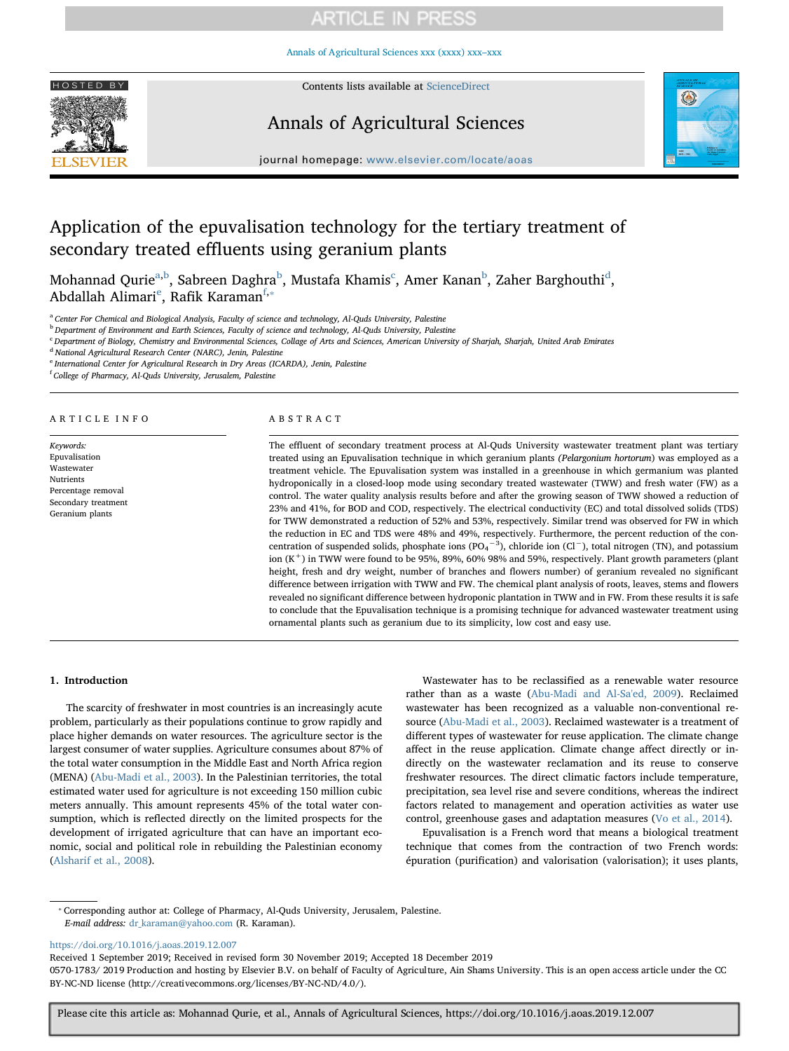# **ARTICLE IN PRESS**

[Annals of Agricultural Sciences xxx \(xxxx\) xxx–xxx](https://doi.org/10.1016/j.aoas.2019.12.007)



HOSTED BY Contents lists available at [ScienceDirect](http://www.sciencedirect.com/science/journal/05701783)

## Annals of Agricultural Sciences



journal homepage: [www.elsevier.com/locate/aoas](https://www.elsevier.com/locate/aoas)

## Application of the epuvalisation technology for the tertiary treatment of secondary treated effluents using geranium plants

Moh[a](#page-0-0)nna[d](#page-0-3) Qurie $^{\rm a,b}$  $^{\rm a,b}$  $^{\rm a,b}$ , Sa[b](#page-0-1)reen Daghra $^{\rm b}$ , Mustafa Khamis $^{\rm c}$ , Amer Kanan $^{\rm b}$ , Zaher Barghouthi $^{\rm d}$ , Abdallah Alimari<sup>e</sup>, Ra[f](#page-0-5)ik Karaman<sup>f,\*</sup>

<span id="page-0-0"></span><sup>a</sup> Center For Chemical and Biological Analysis, Faculty of science and technology, Al-Quds University, Palestine

<span id="page-0-1"></span><sup>b</sup> Department of Environment and Earth Sciences, Faculty of science and technology, Al-Quds University, Palestine

<span id="page-0-2"></span><sup>c</sup> Department of Biology, Chemistry and Environmental Sciences, Collage of Arts and Sciences, American University of Sharjah, Sharjah, United Arab Emirates

<span id="page-0-3"></span><sup>d</sup> National Agricultural Research Center (NARC), Jenin, Palestine

<span id="page-0-4"></span>International Center for Agricultural Research in Dry Areas (ICARDA), Jenin, Palestine

<span id="page-0-5"></span><sup>f</sup> College of Pharmacy, Al-Quds University, Jerusalem, Palestine

#### ARTICLE INFO

Keywords: Epuvalisation Wastewater Nutrients Percentage removal Secondary treatment Geranium plants

#### ABSTRACT

The effluent of secondary treatment process at Al-Quds University wastewater treatment plant was tertiary treated using an Epuvalisation technique in which geranium plants (Pelargonium hortorum) was employed as a treatment vehicle. The Epuvalisation system was installed in a greenhouse in which germanium was planted hydroponically in a closed-loop mode using secondary treated wastewater (TWW) and fresh water (FW) as a control. The water quality analysis results before and after the growing season of TWW showed a reduction of 23% and 41%, for BOD and COD, respectively. The electrical conductivity (EC) and total dissolved solids (TDS) for TWW demonstrated a reduction of 52% and 53%, respectively. Similar trend was observed for FW in which the reduction in EC and TDS were 48% and 49%, respectively. Furthermore, the percent reduction of the concentration of suspended solids, phosphate ions  $(PO_4^{-3})$ , chloride ion  $(Cl^-)$ , total nitrogen (TN), and potassium ion  $(K^+)$  in TWW were found to be 95%, 89%, 60% 98% and 59%, respectively. Plant growth parameters (plant height, fresh and dry weight, number of branches and flowers number) of geranium revealed no significant difference between irrigation with TWW and FW. The chemical plant analysis of roots, leaves, stems and flowers revealed no significant difference between hydroponic plantation in TWW and in FW. From these results it is safe to conclude that the Epuvalisation technique is a promising technique for advanced wastewater treatment using ornamental plants such as geranium due to its simplicity, low cost and easy use.

#### 1. Introduction

The scarcity of freshwater in most countries is an increasingly acute problem, particularly as their populations continue to grow rapidly and place higher demands on water resources. The agriculture sector is the largest consumer of water supplies. Agriculture consumes about 87% of the total water consumption in the Middle East and North Africa region (MENA) ([Abu-Madi et al., 2003](#page-5-0)). In the Palestinian territories, the total estimated water used for agriculture is not exceeding 150 million cubic meters annually. This amount represents 45% of the total water consumption, which is reflected directly on the limited prospects for the development of irrigated agriculture that can have an important economic, social and political role in rebuilding the Palestinian economy ([Alsharif et al., 2008\)](#page-5-1).

Wastewater has to be reclassified as a renewable water resource rather than as a waste [\(Abu-Madi and Al-Sa'ed, 2009](#page-5-2)). Reclaimed wastewater has been recognized as a valuable non-conventional resource ([Abu-Madi et al., 2003](#page-5-0)). Reclaimed wastewater is a treatment of different types of wastewater for reuse application. The climate change affect in the reuse application. Climate change affect directly or indirectly on the wastewater reclamation and its reuse to conserve freshwater resources. The direct climatic factors include temperature, precipitation, sea level rise and severe conditions, whereas the indirect factors related to management and operation activities as water use control, greenhouse gases and adaptation measures [\(Vo et al., 2014](#page-6-0)).

Epuvalisation is a French word that means a biological treatment technique that comes from the contraction of two French words: épuration (purification) and valorisation (valorisation); it uses plants,

<span id="page-0-6"></span>⁎ Corresponding author at: College of Pharmacy, Al-Quds University, Jerusalem, Palestine. E-mail address: [dr\\_karaman@yahoo.com](mailto:dr_karaman@yahoo.com) (R. Karaman).

<https://doi.org/10.1016/j.aoas.2019.12.007>

Received 1 September 2019; Received in revised form 30 November 2019; Accepted 18 December 2019

0570-1783/2019 Production and hosting by Elsevier B.V. on behalf of Faculty of Agriculture, Ain Shams University. This is an open access article under the CC BY-NC-ND license (http://creativecommons.org/licenses/BY-NC-ND/4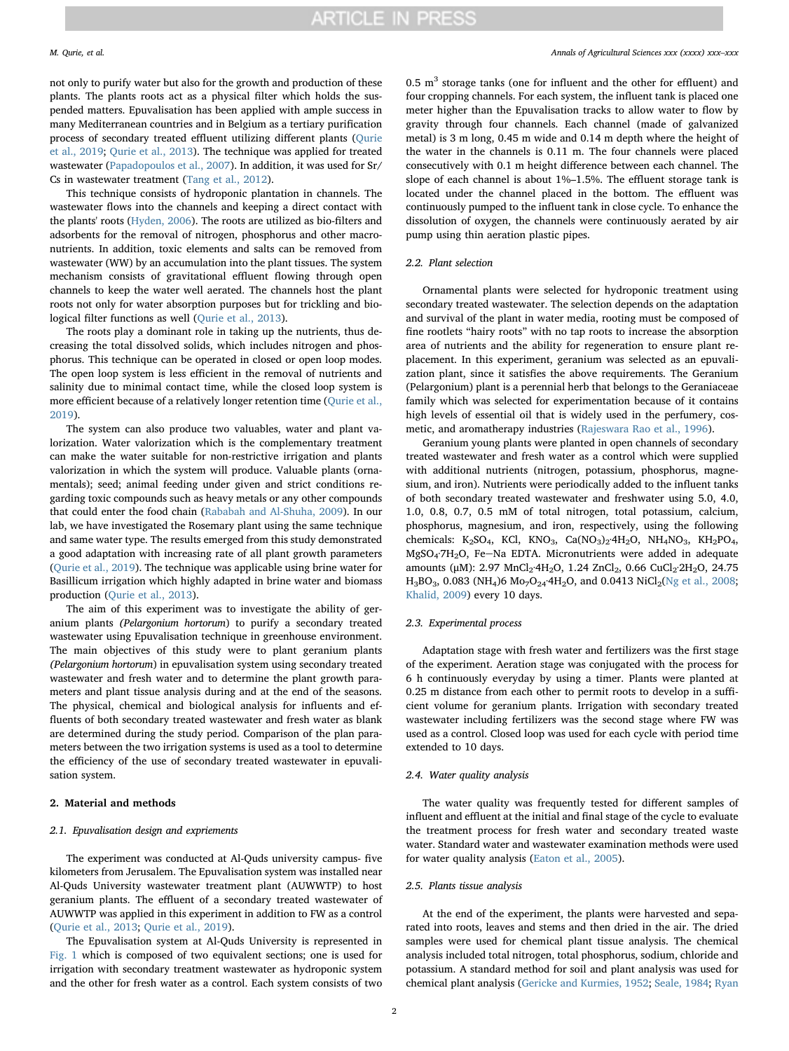not only to purify water but also for the growth and production of these plants. The plants roots act as a physical filter which holds the suspended matters. Epuvalisation has been applied with ample success in many Mediterranean countries and in Belgium as a tertiary purification process of secondary treated effluent utilizing different plants ([Qurie](#page-5-3) [et al., 2019](#page-5-3); [Qurie et al., 2013\)](#page-5-4). The technique was applied for treated wastewater ([Papadopoulos et al., 2007\)](#page-5-5). In addition, it was used for Sr/ Cs in wastewater treatment ([Tang et al., 2012\)](#page-6-1).

This technique consists of hydroponic plantation in channels. The wastewater flows into the channels and keeping a direct contact with the plants' roots ([Hyden, 2006\)](#page-5-6). The roots are utilized as bio-filters and adsorbents for the removal of nitrogen, phosphorus and other macronutrients. In addition, toxic elements and salts can be removed from wastewater (WW) by an accumulation into the plant tissues. The system mechanism consists of gravitational effluent flowing through open channels to keep the water well aerated. The channels host the plant roots not only for water absorption purposes but for trickling and biological filter functions as well [\(Qurie et al., 2013](#page-5-4)).

The roots play a dominant role in taking up the nutrients, thus decreasing the total dissolved solids, which includes nitrogen and phosphorus. This technique can be operated in closed or open loop modes. The open loop system is less efficient in the removal of nutrients and salinity due to minimal contact time, while the closed loop system is more efficient because of a relatively longer retention time [\(Qurie et al.,](#page-5-3) [2019\)](#page-5-3).

The system can also produce two valuables, water and plant valorization. Water valorization which is the complementary treatment can make the water suitable for non-restrictive irrigation and plants valorization in which the system will produce. Valuable plants (ornamentals); seed; animal feeding under given and strict conditions regarding toxic compounds such as heavy metals or any other compounds that could enter the food chain ([Rababah and Al-Shuha, 2009\)](#page-5-7). In our lab, we have investigated the Rosemary plant using the same technique and same water type. The results emerged from this study demonstrated a good adaptation with increasing rate of all plant growth parameters ([Qurie et al., 2019](#page-5-3)). The technique was applicable using brine water for Basillicum irrigation which highly adapted in brine water and biomass production ([Qurie et al., 2013](#page-5-4)).

The aim of this experiment was to investigate the ability of geranium plants (Pelargonium hortorum) to purify a secondary treated wastewater using Epuvalisation technique in greenhouse environment. The main objectives of this study were to plant geranium plants (Pelargonium hortorum) in epuvalisation system using secondary treated wastewater and fresh water and to determine the plant growth parameters and plant tissue analysis during and at the end of the seasons. The physical, chemical and biological analysis for influents and effluents of both secondary treated wastewater and fresh water as blank are determined during the study period. Comparison of the plan parameters between the two irrigation systems is used as a tool to determine the efficiency of the use of secondary treated wastewater in epuvalisation system.

#### 2. Material and methods

#### 2.1. Epuvalisation design and expriements

The experiment was conducted at Al-Quds university campus- five kilometers from Jerusalem. The Epuvalisation system was installed near Al-Quds University wastewater treatment plant (AUWWTP) to host geranium plants. The effluent of a secondary treated wastewater of AUWWTP was applied in this experiment in addition to FW as a control ([Qurie et al., 2013;](#page-5-4) [Qurie et al., 2019](#page-5-3)).

The Epuvalisation system at Al-Quds University is represented in [Fig. 1](#page-2-0) which is composed of two equivalent sections; one is used for irrigation with secondary treatment wastewater as hydroponic system and the other for fresh water as a control. Each system consists of two 0.5  $m<sup>3</sup>$  storage tanks (one for influent and the other for effluent) and four cropping channels. For each system, the influent tank is placed one meter higher than the Epuvalisation tracks to allow water to flow by gravity through four channels. Each channel (made of galvanized metal) is 3 m long, 0.45 m wide and 0.14 m depth where the height of the water in the channels is 0.11 m. The four channels were placed consecutively with 0.1 m height difference between each channel. The slope of each channel is about 1%–1.5%. The effluent storage tank is located under the channel placed in the bottom. The effluent was continuously pumped to the influent tank in close cycle. To enhance the dissolution of oxygen, the channels were continuously aerated by air pump using thin aeration plastic pipes.

#### 2.2. Plant selection

Ornamental plants were selected for hydroponic treatment using secondary treated wastewater. The selection depends on the adaptation and survival of the plant in water media, rooting must be composed of fine rootlets "hairy roots" with no tap roots to increase the absorption area of nutrients and the ability for regeneration to ensure plant replacement. In this experiment, geranium was selected as an epuvalization plant, since it satisfies the above requirements. The Geranium (Pelargonium) plant is a perennial herb that belongs to the Geraniaceae family which was selected for experimentation because of it contains high levels of essential oil that is widely used in the perfumery, cosmetic, and aromatherapy industries ([Rajeswara Rao et al., 1996\)](#page-5-8).

Geranium young plants were planted in open channels of secondary treated wastewater and fresh water as a control which were supplied with additional nutrients (nitrogen, potassium, phosphorus, magnesium, and iron). Nutrients were periodically added to the influent tanks of both secondary treated wastewater and freshwater using 5.0, 4.0, 1.0, 0.8, 0.7, 0.5 mM of total nitrogen, total potassium, calcium, phosphorus, magnesium, and iron, respectively, using the following chemicals: K<sub>2</sub>SO<sub>4</sub>, KCl, KNO<sub>3</sub>, Ca(NO<sub>3</sub>)<sub>2</sub>·4H<sub>2</sub>O, NH<sub>4</sub>NO<sub>3</sub>, KH<sub>2</sub>PO<sub>4</sub>, MgSO<sub>4</sub>·7H<sub>2</sub>O, Fe-Na EDTA. Micronutrients were added in adequate amounts (μM): 2.97 MnCl<sub>2</sub>·4H<sub>2</sub>O, 1.24 ZnCl<sub>2</sub>, 0.66 CuCl<sub>2</sub>·2H<sub>2</sub>O, 24.75  $H_3BO_3$ , 0.083 (NH<sub>4</sub>)6 Mo<sub>7</sub>O<sub>24</sub>·4H<sub>2</sub>O, and 0.0413 NiCl<sub>2</sub>([Ng et al., 2008](#page-5-9); [Khalid, 2009](#page-5-10)) every 10 days.

#### 2.3. Experimental process

Adaptation stage with fresh water and fertilizers was the first stage of the experiment. Aeration stage was conjugated with the process for 6 h continuously everyday by using a timer. Plants were planted at 0.25 m distance from each other to permit roots to develop in a sufficient volume for geranium plants. Irrigation with secondary treated wastewater including fertilizers was the second stage where FW was used as a control. Closed loop was used for each cycle with period time extended to 10 days.

#### 2.4. Water quality analysis

The water quality was frequently tested for different samples of influent and effluent at the initial and final stage of the cycle to evaluate the treatment process for fresh water and secondary treated waste water. Standard water and wastewater examination methods were used for water quality analysis ([Eaton et al., 2005\)](#page-5-11).

#### 2.5. Plants tissue analysis

At the end of the experiment, the plants were harvested and separated into roots, leaves and stems and then dried in the air. The dried samples were used for chemical plant tissue analysis. The chemical analysis included total nitrogen, total phosphorus, sodium, chloride and potassium. A standard method for soil and plant analysis was used for chemical plant analysis ([Gericke and Kurmies, 1952;](#page-5-12) [Seale, 1984](#page-6-2); [Ryan](#page-6-3)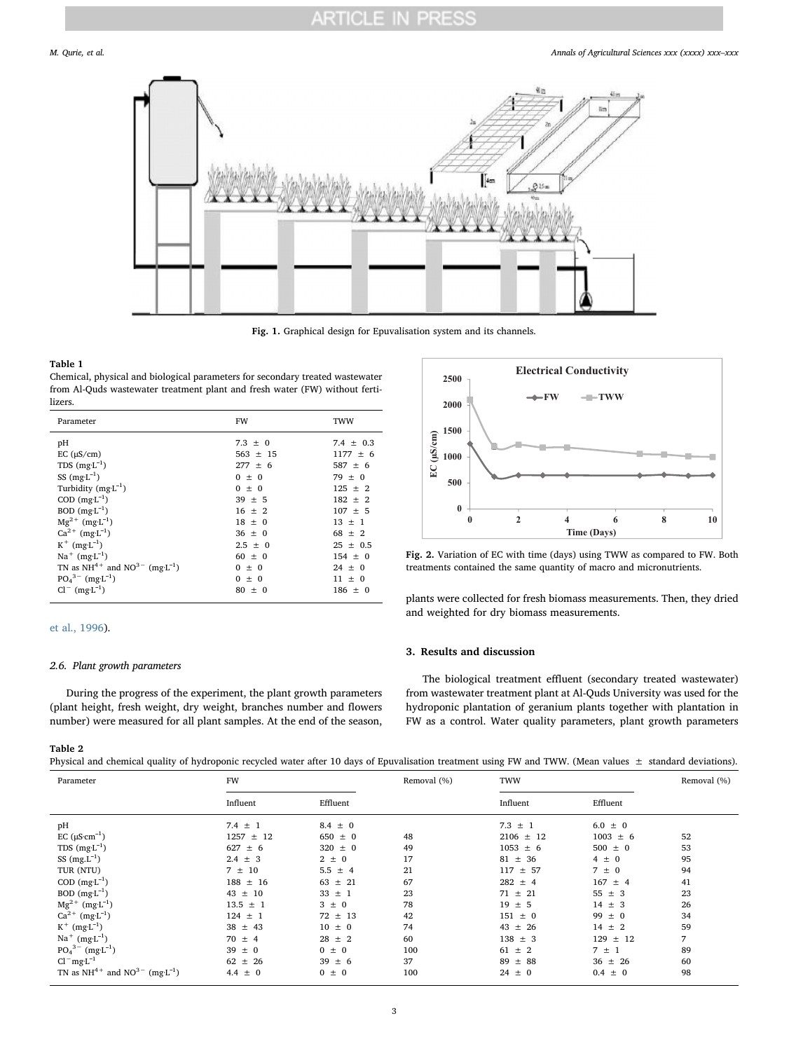<span id="page-2-0"></span>

Fig. 1. Graphical design for Epuvalisation system and its channels.

#### <span id="page-2-1"></span>Table 1

Chemical, physical and biological parameters for secondary treated wastewater from Al-Quds wastewater treatment plant and fresh water (FW) without fertilizers.

| Parameter                                           | <b>FW</b>    | TWW           |
|-----------------------------------------------------|--------------|---------------|
| pH                                                  | $7.3 \pm 0$  | 7.4 $\pm$ 0.3 |
| EC $(\mu S/cm)$                                     | $563 \pm 15$ | $1177 \pm 6$  |
| TDS $(mg-1)$                                        | $277 \pm 6$  | $587 \pm 6$   |
| SS $(mg-1)$                                         | $0 \pm 0$    | $79 \pm 0$    |
| Turbidity $(mgL^{-1})$                              | $0 \pm 0$    | $125 \pm 2$   |
| $COD$ $(mg-1)$                                      | $39 \pm 5$   | $182 \pm 2$   |
| $BOD$ (mg·L <sup>-1</sup> )                         | $16 \pm 2$   | $107 \pm 5$   |
| $Mg^{2+}$ (mg·L <sup>-1</sup> )                     | $18 \pm 0$   | $13 \pm 1$    |
| $Ca^{2+}$ (mg·L <sup>-1</sup> )                     | $36 \pm 0$   | $68 + 2$      |
| $K^+$ (mg·L <sup>-1</sup> )                         | $2.5 \pm 0$  | $25 \pm 0.5$  |
| $Na^+$ (mg·L <sup>-1</sup> )                        | $60 \pm 0$   | $154 \pm 0$   |
| TN as $NH^{4+}$ and $NO^{3-}$ (mg L <sup>-1</sup> ) | $0 \pm 0$    | $24 \pm 0$    |
| $PO_4^{3-}$ (mg·L <sup>-1</sup> )                   | $0 \pm 0$    | $11 + 0$      |
| $Cl^{-}$ (mg·L <sup>-1</sup> )                      | $80 \pm 0$   | $186 \pm 0$   |

#### [et al., 1996](#page-6-3)).

#### 2.6. Plant growth parameters

During the progress of the experiment, the plant growth parameters (plant height, fresh weight, dry weight, branches number and flowers number) were measured for all plant samples. At the end of the season,

<span id="page-2-3"></span>

Fig. 2. Variation of EC with time (days) using TWW as compared to FW. Both treatments contained the same quantity of macro and micronutrients.

plants were collected for fresh biomass measurements. Then, they dried and weighted for dry biomass measurements.

#### 3. Results and discussion

The biological treatment effluent (secondary treated wastewater) from wastewater treatment plant at Al-Quds University was used for the hydroponic plantation of geranium plants together with plantation in FW as a control. Water quality parameters, plant growth parameters

#### <span id="page-2-2"></span>Table 2

Physical and chemical quality of hydroponic recycled water after 10 days of Epuvalisation treatment using FW and TWW. (Mean values  $\pm$  standard deviations).

|                                                     |               |             |             | $\tilde{}$    |              |             |
|-----------------------------------------------------|---------------|-------------|-------------|---------------|--------------|-------------|
| Parameter                                           | <b>FW</b>     |             | Removal (%) | TWW           |              | Removal (%) |
|                                                     | Influent      | Effluent    |             | Influent      | Effluent     |             |
| pH                                                  | 7.4 $\pm$ 1   | $8.4 \pm 0$ |             | $7.3 \pm 1$   | $6.0 \pm 0$  |             |
| EC $(\mu S \cdot cm^{-1})$                          | $1257 \pm 12$ | $650 \pm 0$ | 48          | $2106 \pm 12$ | $1003 \pm 6$ | 52          |
| TDS $(mg-1)$                                        | $627 \pm 6$   | $320 \pm 0$ | 49          | $1053 \pm 6$  | $500 \pm 0$  | 53          |
| SS $(mg.L^{-1})$                                    | $2.4 \pm 3$   | $2 \pm 0$   | 17          | $81 \pm 36$   | $4 \pm 0$    | 95          |
| TUR (NTU)                                           | $7 \pm 10$    | $5.5 \pm 4$ | 21          | $117 \pm 57$  | $7 \pm 0$    | 94          |
| $COD$ (mg $L^{-1}$ )                                | $188 \pm 16$  | $63 \pm 21$ | 67          | $282 \pm 4$   | $167 \pm 4$  | 41          |
| $BOD$ (mg·L <sup>-1</sup> )                         | $43 \pm 10$   | $33 \pm 1$  | 23          | $71 \pm 21$   | $55 \pm 3$   | 23          |
| $Mg^{2+}$ (mg·L <sup>-1</sup> )                     | $13.5 \pm 1$  | $3 \pm 0$   | 78          | $19 \pm 5$    | $14 \pm 3$   | 26          |
| $Ca^{2+} (mgL^{-1})$                                | $124 \pm 1$   | $72 \pm 13$ | 42          | $151 \pm 0$   | $99 \pm 0$   | 34          |
| $K^+$ (mg·L <sup>-1</sup> )                         | $38 \pm 43$   | $10 \pm 0$  | 74          | $43 \pm 26$   | $14 \pm 2$   | 59          |
| $Na^+$ (mg·L <sup>-1</sup> )                        | $70 \pm 4$    | $28 \pm 2$  | 60          | $138 \pm 3$   | $129 \pm 12$ | 7           |
| $PO_4^{3-}$ (mg·L <sup>-1</sup> )                   | $39 \pm 0$    | $0 \pm 0$   | 100         | $61 \pm 2$    | $7 \pm 1$    | 89          |
| $Cl-mg-1$                                           | $62 \pm 26$   | 39<br>± 6   | 37          | $89 \pm 88$   | $36 \pm 26$  | 60          |
| TN as $NH^{4+}$ and $NO^{3-}$ (mg L <sup>-1</sup> ) | $4.4 \pm 0$   | $0 \pm 0$   | 100         | $24 \pm 0$    | $0.4 \pm 0$  | 98          |
|                                                     |               |             |             |               |              |             |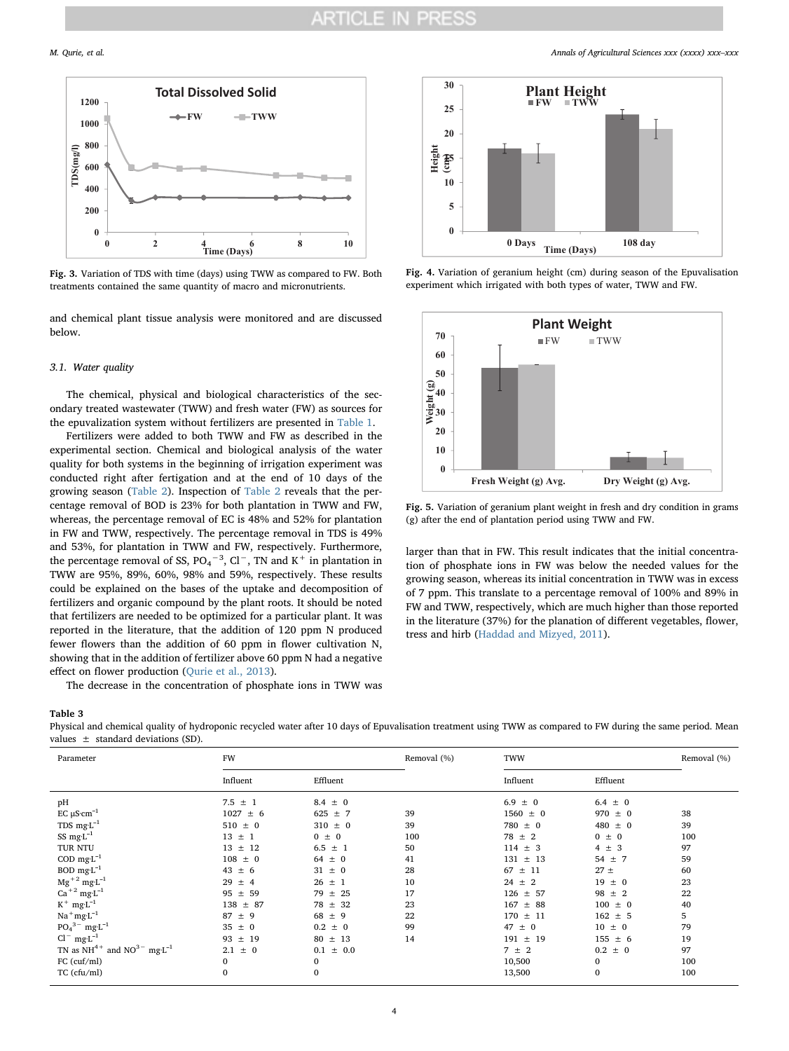

Fig. 3. Variation of TDS with time (days) using TWW as compared to FW. Both treatments contained the same quantity of macro and micronutrients.

and chemical plant tissue analysis were monitored and are discussed below.

#### 3.1. Water quality

The chemical, physical and biological characteristics of the secondary treated wastewater (TWW) and fresh water (FW) as sources for the epuvalization system without fertilizers are presented in [Table 1](#page-2-1).

Fertilizers were added to both TWW and FW as described in the experimental section. Chemical and biological analysis of the water quality for both systems in the beginning of irrigation experiment was conducted right after fertigation and at the end of 10 days of the growing season [\(Table 2](#page-2-2)). Inspection of [Table 2](#page-2-2) reveals that the percentage removal of BOD is 23% for both plantation in TWW and FW, whereas, the percentage removal of EC is 48% and 52% for plantation in FW and TWW, respectively. The percentage removal in TDS is 49% and 53%, for plantation in TWW and FW, respectively. Furthermore, the percentage removal of SS,  $PO_4^{-3}$ , Cl<sup>-</sup>, TN and K<sup>+</sup> in plantation in TWW are 95%, 89%, 60%, 98% and 59%, respectively. These results could be explained on the bases of the uptake and decomposition of fertilizers and organic compound by the plant roots. It should be noted that fertilizers are needed to be optimized for a particular plant. It was reported in the literature, that the addition of 120 ppm N produced fewer flowers than the addition of 60 ppm in flower cultivation N, showing that in the addition of fertilizer above 60 ppm N had a negative effect on flower production ([Qurie et al., 2013\)](#page-5-4).

The decrease in the concentration of phosphate ions in TWW was

<span id="page-3-0"></span>Table 3

Physical and chemical quality of hydroponic recycled water after 10 days of Epuvalisation treatment using TWW as compared to FW during the same period. Mean values ± standard deviations (SD).

| Influent<br>Effluent<br>Influent<br>Effluent<br>pH<br>$7.5 \pm 1$<br>$6.9 \pm 0$<br>$8.4 \pm 0$<br>$6.4 \pm 0$<br>EC $\mu$ S·cm <sup>-1</sup><br>$1027 \pm 6$<br>$1560 \pm 0$<br>$970 \pm 0$<br>$625 \pm 7$<br>39 | 38<br>39 |
|-------------------------------------------------------------------------------------------------------------------------------------------------------------------------------------------------------------------|----------|
|                                                                                                                                                                                                                   |          |
|                                                                                                                                                                                                                   |          |
|                                                                                                                                                                                                                   |          |
| TDS $mg L^{-1}$<br>$510 \pm 0$<br>$310 \pm 0$<br>39<br>$780 \pm 0$<br>$480 \pm 0$                                                                                                                                 |          |
| SS $mg L^{-1}$<br>$13 \pm 1$<br>100<br>$78 \pm 2$<br>$0 \pm 0$<br>$0 \pm 0$                                                                                                                                       | 100      |
| TUR NTU<br>$13 \pm 12$<br>$6.5 \pm 1$<br>50<br>$114 \pm 3$<br>$4 \pm 3$                                                                                                                                           | 97       |
| COD mg $L^{-1}$<br>$108 \pm 0$<br>$64 \pm 0$<br>$131 \pm 13$<br>41<br>$54 \pm 7$                                                                                                                                  | 59       |
| BOD $mg L^{-1}$<br>$27 \pm$<br>$43 \pm 6$<br>$31 \pm 0$<br>28<br>$67 \pm 11$                                                                                                                                      | 60       |
| $Mg^{+2}$ mg·L <sup>-1</sup><br>$26 \pm 1$<br>$24 \pm 2$<br>$19 \pm 0$<br>$29 \pm 4$<br>10                                                                                                                        | 23       |
| $Ca+2$ mg·L <sup>-1</sup><br>$95 \pm 59$<br>$79 \pm 25$<br>17<br>$126 \pm 57$<br>$98 \pm 2$                                                                                                                       | 22       |
| $K^+$ mg·L <sup>-1</sup><br>$138 \pm 87$<br>$78 \pm 32$<br>23<br>$167 \pm 88$<br>$100 \pm 0$                                                                                                                      | 40       |
| $\mathrm{Na}^+\mathrm{mg}\cdot\mathrm{L}^{-1}$<br>22<br>$162 \pm 5$<br>$87 \pm 9$<br>$68 \pm 9$<br>$170 \pm 11$                                                                                                   | 5        |
| $PO_4^{3-}$ mg·L <sup>-1</sup><br>$47 \pm 0$<br>$10 \pm 0$<br>$35 \pm 0$<br>$0.2 \pm 0$<br>99                                                                                                                     | 79       |
| $Cl^{-}$ mg·L <sup>-1</sup><br>$155 \pm 6$<br>$93 \pm 19$<br>$80 \pm 13$<br>14<br>$191 \pm 19$                                                                                                                    | 19       |
| TN as $NH^{4+}$ and $NO^{3-}$ mg·L <sup>-1</sup><br>$2.1 \pm 0$<br>$0.1 \pm 0.0$<br>$7 \pm 2$<br>$0.2 \pm 0$                                                                                                      | 97       |
| $FC$ (cuf/ml)<br>0<br>10,500<br>$\mathbf{0}$<br>0                                                                                                                                                                 | 100      |
| $\mathbf{0}$<br>$TC$ (cfu/ml)<br>$\mathbf{0}$<br>13,500<br>$\mathbf{0}$                                                                                                                                           | 100      |

<span id="page-3-1"></span>

Fig. 4. Variation of geranium height (cm) during season of the Epuvalisation experiment which irrigated with both types of water, TWW and FW.

<span id="page-3-2"></span>

Fig. 5. Variation of geranium plant weight in fresh and dry condition in grams (g) after the end of plantation period using TWW and FW.

larger than that in FW. This result indicates that the initial concentration of phosphate ions in FW was below the needed values for the growing season, whereas its initial concentration in TWW was in excess of 7 ppm. This translate to a percentage removal of 100% and 89% in FW and TWW, respectively, which are much higher than those reported in the literature (37%) for the planation of different vegetables, flower, tress and hirb [\(Haddad and Mizyed, 2011\)](#page-5-13).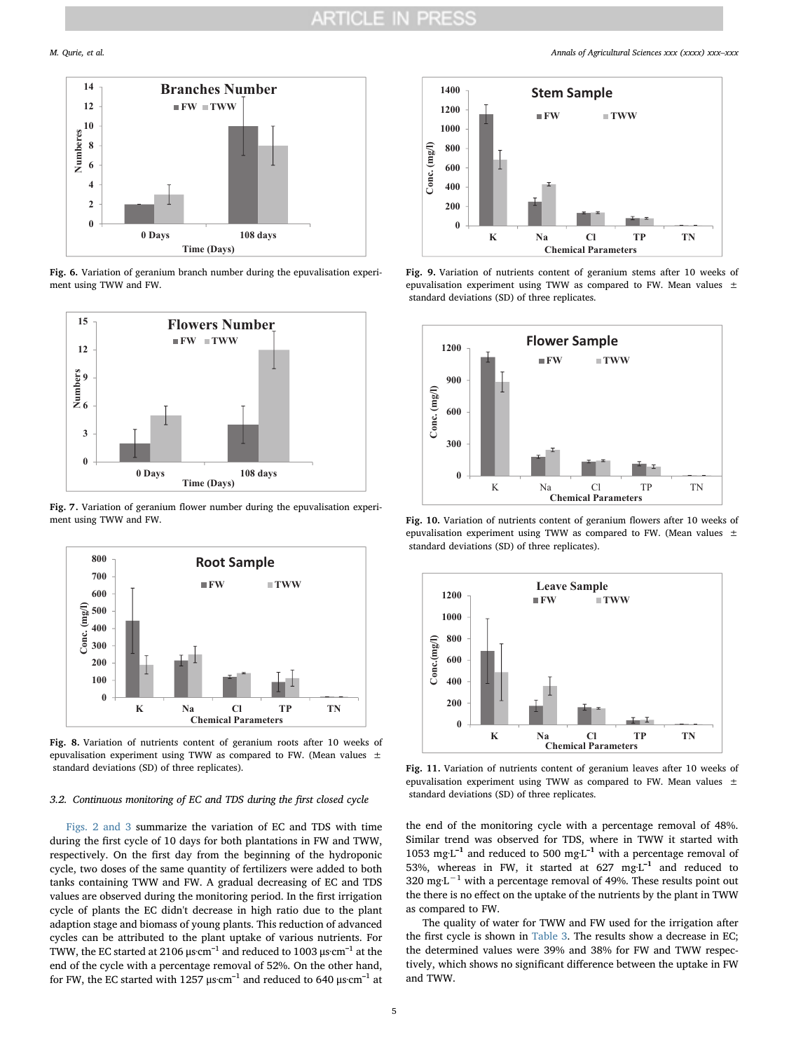<span id="page-4-0"></span>

Fig. 6. Variation of geranium branch number during the epuvalisation experiment using TWW and FW.



Fig. 7. Variation of geranium flower number during the epuvalisation experiment using TWW and FW.

<span id="page-4-1"></span>

Fig. 8. Variation of nutrients content of geranium roots after 10 weeks of epuvalisation experiment using TWW as compared to FW. (Mean values  $\pm$ standard deviations (SD) of three replicates).

#### 3.2. Continuous monitoring of EC and TDS during the first closed cycle

[Figs. 2 and 3](#page-2-3) summarize the variation of EC and TDS with time during the first cycle of 10 days for both plantations in FW and TWW, respectively. On the first day from the beginning of the hydroponic cycle, two doses of the same quantity of fertilizers were added to both tanks containing TWW and FW. A gradual decreasing of EC and TDS values are observed during the monitoring period. In the first irrigation cycle of plants the EC didn't decrease in high ratio due to the plant adaption stage and biomass of young plants. This reduction of advanced cycles can be attributed to the plant uptake of various nutrients. For TWW, the EC started at 2106 μs·cm $^{\text{-1}}$  and reduced to 1003 μs·cm $^{\text{-1}}$  at the end of the cycle with a percentage removal of 52%. On the other hand, for FW, the EC started with 1257  $\mu \textrm{s}\,\textrm{cm}^{-1}$  and reduced to 640  $\mu \textrm{s}\,\textrm{cm}^{-1}$  at



Fig. 9. Variation of nutrients content of geranium stems after 10 weeks of epuvalisation experiment using TWW as compared to FW. Mean values  $\pm$ standard deviations (SD) of three replicates.



Fig. 10. Variation of nutrients content of geranium flowers after 10 weeks of epuvalisation experiment using TWW as compared to FW. (Mean values  $\pm$ standard deviations (SD) of three replicates).



Fig. 11. Variation of nutrients content of geranium leaves after 10 weeks of epuvalisation experiment using TWW as compared to FW. Mean values  $\pm$ standard deviations (SD) of three replicates.

the end of the monitoring cycle with a percentage removal of 48%. Similar trend was observed for TDS, where in TWW it started with 1053 mg $L^{-1}$  and reduced to 500 mg $L^{-1}$  with a percentage removal of 53%, whereas in FW, it started at  $627$  mg·L<sup>-1</sup> and reduced to 320 mg·L<sup> $-1$ </sup> with a percentage removal of 49%. These results point out the there is no effect on the uptake of the nutrients by the plant in TWW as compared to FW.

The quality of water for TWW and FW used for the irrigation after the first cycle is shown in [Table 3](#page-3-0). The results show a decrease in EC; the determined values were 39% and 38% for FW and TWW respectively, which shows no significant difference between the uptake in FW and TWW.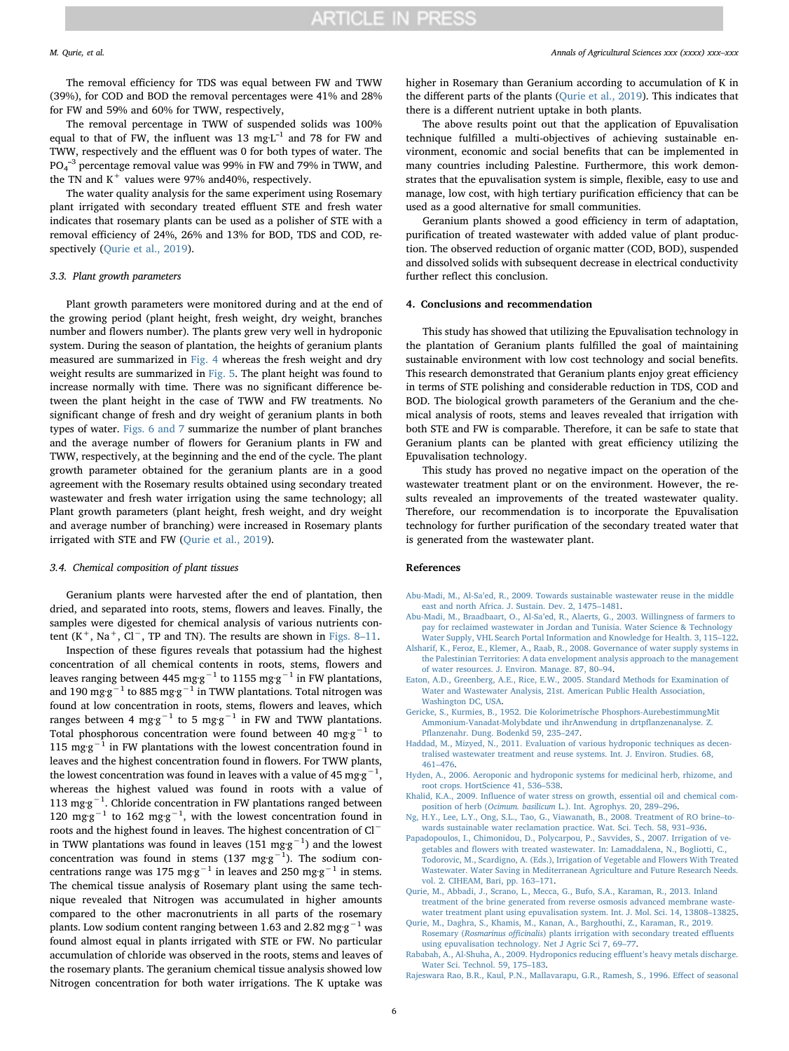The removal efficiency for TDS was equal between FW and TWW (39%), for COD and BOD the removal percentages were 41% and 28% for FW and 59% and 60% for TWW, respectively,

The removal percentage in TWW of suspended solids was 100% equal to that of FW, the influent was  $13 \text{ mgL}^{-1}$  and  $78$  for FW and TWW, respectively and the effluent was 0 for both types of water. The  $PO_4^{-3}$  percentage removal value was 99% in FW and 79% in TWW, and the TN and  $K^+$  values were 97% and 40%, respectively.

The water quality analysis for the same experiment using Rosemary plant irrigated with secondary treated effluent STE and fresh water indicates that rosemary plants can be used as a polisher of STE with a removal efficiency of 24%, 26% and 13% for BOD, TDS and COD, respectively (Ourie et al., 2019).

### 3.3. Plant growth parameters

Plant growth parameters were monitored during and at the end of the growing period (plant height, fresh weight, dry weight, branches number and flowers number). The plants grew very well in hydroponic system. During the season of plantation, the heights of geranium plants measured are summarized in [Fig. 4](#page-3-1) whereas the fresh weight and dry weight results are summarized in [Fig. 5](#page-3-2). The plant height was found to increase normally with time. There was no significant difference between the plant height in the case of TWW and FW treatments. No significant change of fresh and dry weight of geranium plants in both types of water. [Figs. 6 and 7](#page-4-0) summarize the number of plant branches and the average number of flowers for Geranium plants in FW and TWW, respectively, at the beginning and the end of the cycle. The plant growth parameter obtained for the geranium plants are in a good agreement with the Rosemary results obtained using secondary treated wastewater and fresh water irrigation using the same technology; all Plant growth parameters (plant height, fresh weight, and dry weight and average number of branching) were increased in Rosemary plants irrigated with STE and FW ([Qurie et al., 2019\)](#page-5-3).

### 3.4. Chemical composition of plant tissues

Geranium plants were harvested after the end of plantation, then dried, and separated into roots, stems, flowers and leaves. Finally, the samples were digested for chemical analysis of various nutrients content  $(K^+$ , Na<sup>+</sup>, Cl<sup>−</sup>, TP and TN). The results are shown in [Figs. 8](#page-4-1)–11.

Inspection of these figures reveals that potassium had the highest concentration of all chemical contents in roots, stems, flowers and leaves ranging between 445 mg·g<sup>−1</sup> to 1155 mg·g<sup>−1</sup> in FW plantations, and 190 mg·g $^{-1}$  to 885 mg·g $^{-1}$  in TWW plantations. Total nitrogen was found at low concentration in roots, stems, flowers and leaves, which ranges between 4 mg·g<sup>−1</sup> to 5 mg·g<sup>−1</sup> in FW and TWW plantations. Total phosphorous concentration were found between 40 mg·g<sup>-1</sup> to 115 mg·g<sup>-1</sup> in FW plantations with the lowest concentration found in leaves and the highest concentration found in flowers. For TWW plants, the lowest concentration was found in leaves with a value of 45 mg·g<sup>-1</sup> , whereas the highest valued was found in roots with a value of 113 mg·g<sup>-1</sup>. Chloride concentration in FW plantations ranged between 120 mg·g<sup>-1</sup> to 162 mg·g<sup>-1</sup>, with the lowest concentration found in roots and the highest found in leaves. The highest concentration of Cl<sup>−</sup> in TWW plantations was found in leaves (151 mg·g<sup>-1</sup>) and the lowest concentration was found in stems (137 mg·g<sup>-1</sup>). The sodium concentrations range was 175 mg·g<sup>-1</sup> in leaves and 250 mg·g<sup>-1</sup> in stems. The chemical tissue analysis of Rosemary plant using the same technique revealed that Nitrogen was accumulated in higher amounts compared to the other macronutrients in all parts of the rosemary plants. Low sodium content ranging between 1.63 and 2.82 mg·g<sup>-1</sup> was found almost equal in plants irrigated with STE or FW. No particular accumulation of chloride was observed in the roots, stems and leaves of the rosemary plants. The geranium chemical tissue analysis showed low Nitrogen concentration for both water irrigations. The K uptake was higher in Rosemary than Geranium according to accumulation of K in the different parts of the plants [\(Qurie et al., 2019\)](#page-5-3). This indicates that there is a different nutrient uptake in both plants.

The above results point out that the application of Epuvalisation technique fulfilled a multi-objectives of achieving sustainable environment, economic and social benefits that can be implemented in many countries including Palestine. Furthermore, this work demonstrates that the epuvalisation system is simple, flexible, easy to use and manage, low cost, with high tertiary purification efficiency that can be used as a good alternative for small communities.

Geranium plants showed a good efficiency in term of adaptation, purification of treated wastewater with added value of plant production. The observed reduction of organic matter (COD, BOD), suspended and dissolved solids with subsequent decrease in electrical conductivity further reflect this conclusion.

### 4. Conclusions and recommendation

This study has showed that utilizing the Epuvalisation technology in the plantation of Geranium plants fulfilled the goal of maintaining sustainable environment with low cost technology and social benefits. This research demonstrated that Geranium plants enjoy great efficiency in terms of STE polishing and considerable reduction in TDS, COD and BOD. The biological growth parameters of the Geranium and the chemical analysis of roots, stems and leaves revealed that irrigation with both STE and FW is comparable. Therefore, it can be safe to state that Geranium plants can be planted with great efficiency utilizing the Epuvalisation technology.

This study has proved no negative impact on the operation of the wastewater treatment plant or on the environment. However, the results revealed an improvements of the treated wastewater quality. Therefore, our recommendation is to incorporate the Epuvalisation technology for further purification of the secondary treated water that is generated from the wastewater plant.

#### References

- <span id="page-5-2"></span>Abu-Madi, M., Al-Sa'[ed, R., 2009. Towards sustainable wastewater reuse in the middle](http://refhub.elsevier.com/S0570-1783(19)30041-7/rf0010) [east and north Africa. J. Sustain. Dev. 2, 1475](http://refhub.elsevier.com/S0570-1783(19)30041-7/rf0010)–1481.
- <span id="page-5-0"></span>Abu-Madi, M., Braadbaart, O., Al-Sa'[ed, R., Alaerts, G., 2003. Willingness of farmers to](http://refhub.elsevier.com/S0570-1783(19)30041-7/rf0005) [pay for reclaimed wastewater in Jordan and Tunisia. Water Science & Technology](http://refhub.elsevier.com/S0570-1783(19)30041-7/rf0005) [Water Supply, VHL Search Portal Information and Knowledge for Health. 3, 115](http://refhub.elsevier.com/S0570-1783(19)30041-7/rf0005)–122.
- <span id="page-5-1"></span>[Alsharif, K., Feroz, E., Klemer, A., Raab, R., 2008. Governance of water supply systems in](http://refhub.elsevier.com/S0570-1783(19)30041-7/rf9000) [the Palestinian Territories: A data envelopment analysis approach to the management](http://refhub.elsevier.com/S0570-1783(19)30041-7/rf9000) [of water resources. J. Environ. Manage. 87, 80](http://refhub.elsevier.com/S0570-1783(19)30041-7/rf9000)–94.
- <span id="page-5-11"></span>[Eaton, A.D., Greenberg, A.E., Rice, E.W., 2005. Standard Methods for Examination of](http://refhub.elsevier.com/S0570-1783(19)30041-7/or0005) [Water and Wastewater Analysis, 21st. American Public Health Association,](http://refhub.elsevier.com/S0570-1783(19)30041-7/or0005) [Washington DC, USA.](http://refhub.elsevier.com/S0570-1783(19)30041-7/or0005)
- <span id="page-5-12"></span>[Gericke, S., Kurmies, B., 1952. Die Kolorimetrische Phosphors-AurebestimmungMit](http://refhub.elsevier.com/S0570-1783(19)30041-7/rf0015) [Ammonium-Vanadat-Molybdate und ihrAnwendung in drtp](http://refhub.elsevier.com/S0570-1783(19)30041-7/rf0015)flanzenanalyse. Z. Pfl[anzenahr. Dung. Bodenkd 59, 235](http://refhub.elsevier.com/S0570-1783(19)30041-7/rf0015)–247.
- <span id="page-5-13"></span>[Haddad, M., Mizyed, N., 2011. Evaluation of various hydroponic techniques as decen](http://refhub.elsevier.com/S0570-1783(19)30041-7/rf0020)[tralised wastewater treatment and reuse systems. Int. J. Environ. Studies. 68,](http://refhub.elsevier.com/S0570-1783(19)30041-7/rf0020) 461–[476](http://refhub.elsevier.com/S0570-1783(19)30041-7/rf0020).
- <span id="page-5-6"></span>[Hyden, A., 2006. Aeroponic and hydroponic systems for medicinal herb, rhizome, and](http://refhub.elsevier.com/S0570-1783(19)30041-7/rf9010) [root crops. HortScience 41, 536](http://refhub.elsevier.com/S0570-1783(19)30041-7/rf9010)–538.
- <span id="page-5-10"></span>Khalid, K.A., 2009. Infl[uence of water stress on growth, essential oil and chemical com](http://refhub.elsevier.com/S0570-1783(19)30041-7/rf0025)position of herb (Ocimum. basilicum [L.\). Int. Agrophys. 20, 289](http://refhub.elsevier.com/S0570-1783(19)30041-7/rf0025)–296.
- <span id="page-5-9"></span>[Ng, H.Y., Lee, L.Y., Ong, S.L., Tao, G., Viawanath, B., 2008. Treatment of RO brine](http://refhub.elsevier.com/S0570-1783(19)30041-7/rf0035)–to[wards sustainable water reclamation practice. Wat. Sci. Tech. 58, 931](http://refhub.elsevier.com/S0570-1783(19)30041-7/rf0035)–936.
- <span id="page-5-5"></span>[Papadopoulos, I., Chimonidou, D., Polycarpou, P., Savvides, S., 2007. Irrigation of ve](http://refhub.elsevier.com/S0570-1783(19)30041-7/rf0040)getables and fl[owers with treated wastewater. In: Lamaddalena, N., Bogliotti, C.,](http://refhub.elsevier.com/S0570-1783(19)30041-7/rf0040) [Todorovic, M., Scardigno, A. \(Eds.\), Irrigation of Vegetable and Flowers With Treated](http://refhub.elsevier.com/S0570-1783(19)30041-7/rf0040) [Wastewater. Water Saving in Mediterranean Agriculture and Future Research Needs.](http://refhub.elsevier.com/S0570-1783(19)30041-7/rf0040) [vol. 2. CIHEAM, Bari, pp. 163](http://refhub.elsevier.com/S0570-1783(19)30041-7/rf0040)–171.
- <span id="page-5-4"></span>[Qurie, M., Abbadi, J., Scrano, L., Mecca, G., Bufo, S.A., Karaman, R., 2013. Inland](http://refhub.elsevier.com/S0570-1783(19)30041-7/rf0045) [treatment of the brine generated from reverse osmosis advanced membrane waste](http://refhub.elsevier.com/S0570-1783(19)30041-7/rf0045)[water treatment plant using epuvalisation system. Int. J. Mol. Sci. 14, 13808](http://refhub.elsevier.com/S0570-1783(19)30041-7/rf0045)–13825.
- <span id="page-5-3"></span>[Qurie, M., Daghra, S., Khamis, M., Kanan, A., Barghouthi, Z., Karaman, R., 2019.](http://refhub.elsevier.com/S0570-1783(19)30041-7/rf0050) Rosemary (Rosmarinus officinalis[\) plants irrigation with secondary treated e](http://refhub.elsevier.com/S0570-1783(19)30041-7/rf0050)ffluents [using epuvalisation technology. Net J Agric Sci 7, 69](http://refhub.elsevier.com/S0570-1783(19)30041-7/rf0050)–77.
- <span id="page-5-7"></span>[Rababah, A., Al-Shuha, A., 2009. Hydroponics reducing e](http://refhub.elsevier.com/S0570-1783(19)30041-7/rf9015)ffluent's heavy metals discharge. [Water Sci. Technol. 59, 175](http://refhub.elsevier.com/S0570-1783(19)30041-7/rf9015)–183.
- <span id="page-5-8"></span>[Rajeswara Rao, B.R., Kaul, P.N., Mallavarapu, G.R., Ramesh, S., 1996. E](http://refhub.elsevier.com/S0570-1783(19)30041-7/rf0055)ffect of seasonal